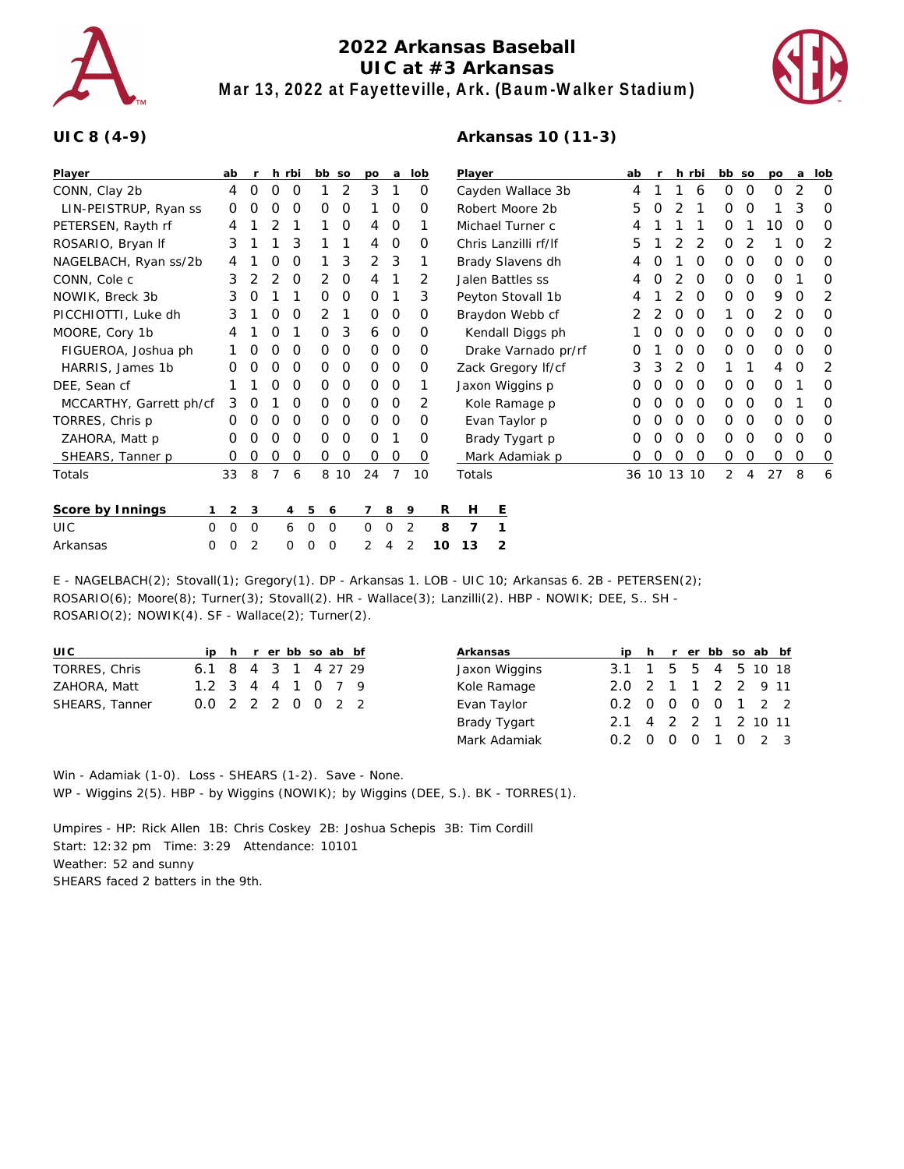

## **2022 Arkansas Baseball UIC at #3 Arkansas Mar 13, 2022 at Fayetteville, Ark. (Baum-Walker Stadium)**

**Arkansas 10 (11-3)**



## **UIC 8 (4-9)**

| Player                  | ab            | $\mathsf{r}$        |   | h rbi |          | bb so | po       | a              | lob      |    | Player |                  |                      | ab          | $\mathsf{r}$ |   | h rbi    | bb so       |   | po       | a        | lob     |
|-------------------------|---------------|---------------------|---|-------|----------|-------|----------|----------------|----------|----|--------|------------------|----------------------|-------------|--------------|---|----------|-------------|---|----------|----------|---------|
| CONN, Clay 2b           | 4             | 0                   | 0 | O     |          | 2     | 3        | 1              | 0        |    |        |                  | Cayden Wallace 3b    | 4           |              |   | 6        | 0           | 0 | $\Omega$ | 2        | 0       |
| LIN-PEISTRUP, Ryan ss   | 0             | Ο                   | Ο | O     | O        | 0     |          | 0              | 0        |    |        | Robert Moore 2b  |                      | 5           | O            |   |          | 0           | 0 |          | 3        | 0       |
| PETERSEN, Rayth rf      | 4             |                     | 2 |       |          | 0     | 4        | 0              |          |    |        | Michael Turner c |                      | 4           |              |   |          | 0           | 1 | 10       | $\Omega$ | O       |
| ROSARIO, Bryan If       | 3             |                     |   | 3     |          |       | 4        | 0              | $\Omega$ |    |        |                  | Chris Lanzilli rf/lf | 5           |              |   |          | O           | 2 |          | O        | 2       |
| NAGELBACH, Ryan ss/2b   |               |                     |   | 0     |          | 3     | 2        | 3              |          |    |        |                  | Brady Slavens dh     | 4           |              |   | 0        | 0           | 0 | 0        | 0        | 0       |
| CONN, Cole c            | 3             | 2                   | 2 | 0     | 2        | 0     | 4        |                | 2        |    |        | Jalen Battles ss |                      | 4           | O            |   | $\Omega$ | 0           | 0 | $\Omega$ |          | O       |
| NOWIK, Breck 3b         | 3             | 0                   |   |       | 0        | 0     | 0        |                | 3        |    |        |                  | Peyton Stovall 1b    |             |              |   | $\Omega$ | 0           | 0 | 9        | O        | 2       |
| PICCHIOTTI, Luke dh     | 3             |                     | Ο | O     | 2        |       | $\Omega$ | 0              | O        |    |        |                  | Braydon Webb cf      |             |              | O | $\Omega$ |             | 0 | 2        | $\Omega$ | O       |
| MOORE, Cory 1b          | 4             |                     | 0 |       | 0        | 3     | 6        | 0              | 0        |    |        |                  | Kendall Diggs ph     |             | O            | 0 | $\Omega$ | 0           | 0 | 0        | 0        | 0       |
| FIGUEROA, Joshua ph     |               | 0                   | O | O     | 0        | 0     | 0        | 0              | 0        |    |        |                  | Drake Varnado pr/rf  | O           |              | O | $\Omega$ | 0           | 0 | 0        | 0        | 0       |
| HARRIS, James 1b        |               | Ο                   | 0 | 0     | $\Omega$ | 0     | 0        | 0              | 0        |    |        |                  | Zack Gregory If/cf   | 3           |              |   | $\Omega$ |             |   | 4        | O        | 2       |
| DEE, Sean cf            |               |                     | Ο | 0     | 0        | 0     | $\circ$  | 0              |          |    |        | Jaxon Wiggins p  |                      | O           |              | O | $\Omega$ | 0           | 0 | 0        |          | O       |
| MCCARTHY, Garrett ph/cf | 3             | O                   |   | O     | O        | 0     | $\circ$  | 0              | 2        |    |        | Kole Ramage p    |                      | O           |              | 0 | 0        | 0           | 0 | 0        |          | 0       |
| TORRES, Chris p         | O             | O                   | O | 0     | 0        | 0     | $\Omega$ | 0              | $\Omega$ |    |        | Evan Taylor p    |                      | O           |              | O | $\Omega$ | 0           | 0 | 0        | O        | O       |
| ZAHORA, Matt p          | 0             | Ο                   | 0 | O     | O        | O     | $\Omega$ |                | O        |    |        | Brady Tygart p   |                      | O           |              | O | $\Omega$ | 0           | 0 | O        | O        | 0       |
| SHEARS, Tanner p        | 0             | 0                   | 0 | 0     | 0        | 0     | 0        | 0              | 0        |    |        |                  | Mark Adamiak p       | O           | 0            | 0 | 0        | $\mathbf 0$ | 0 | 0        | $\circ$  | $\circ$ |
| Totals                  | 33            | 8                   | 7 | 6     |          | 8 10  | 24       | $\overline{7}$ | 10       |    | Totals |                  |                      | 36 10 13 10 |              |   |          | 2           | 4 | 27       | 8        | 6       |
| Score by Innings        |               | $\overline{2}$<br>3 |   | 4     | 5        | 6     |          | 8              | 9        | R  | H      | Е                |                      |             |              |   |          |             |   |          |          |         |
| UIC                     | 0<br>$\Omega$ | 0                   |   | 6     | 0        | 0     | 0        | 0              | 2        | 8  | 7      |                  |                      |             |              |   |          |             |   |          |          |         |
| Arkansas                | 0<br>0        | 2                   |   | 0     | 0        | 0     | 2        | 4              | 2        | 10 | 13     | 2                |                      |             |              |   |          |             |   |          |          |         |
|                         |               |                     |   |       |          |       |          |                |          |    |        |                  |                      |             |              |   |          |             |   |          |          |         |

E - NAGELBACH(2); Stovall(1); Gregory(1). DP - Arkansas 1. LOB - UIC 10; Arkansas 6. 2B - PETERSEN(2); ROSARIO(6); Moore(8); Turner(3); Stovall(2). HR - Wallace(3); Lanzilli(2). HBP - NOWIK; DEE, S.. SH -ROSARIO(2); NOWIK(4). SF - Wallace(2); Turner(2).

| UI C                  |                     |  |  |  | ip h r er bb so ab bf |
|-----------------------|---------------------|--|--|--|-----------------------|
| TORRES, Chris         | 6.1 8 4 3 1 4 27 29 |  |  |  |                       |
| ZAHORA, Matt          | 1.2 3 4 4 1 0 7 9   |  |  |  |                       |
| <b>SHEARS, Tanner</b> | 0.0 2 2 2 0 0 2 2   |  |  |  |                       |

| Arkansas      |                     |  | ip h r er bb so ab bf |  |  |
|---------------|---------------------|--|-----------------------|--|--|
| Jaxon Wiggins | 3.1 1 5 5 4 5 10 18 |  |                       |  |  |
| Kole Ramage   | 2.0 2 1 1 2 2 9 11  |  |                       |  |  |
| Evan Taylor   | 0.2 0 0 0 0 1 2 2   |  |                       |  |  |
| Brady Tygart  | 2.1 4 2 2 1 2 10 11 |  |                       |  |  |
| Mark Adamiak  | 0.2 0 0 0 1 0 2 3   |  |                       |  |  |

Win - Adamiak (1-0). Loss - SHEARS (1-2). Save - None. WP - Wiggins 2(5). HBP - by Wiggins (NOWIK); by Wiggins (DEE, S.). BK - TORRES(1).

Umpires - HP: Rick Allen 1B: Chris Coskey 2B: Joshua Schepis 3B: Tim Cordill Start: 12:32 pm Time: 3:29 Attendance: 10101 Weather: 52 and sunny SHEARS faced 2 batters in the 9th.